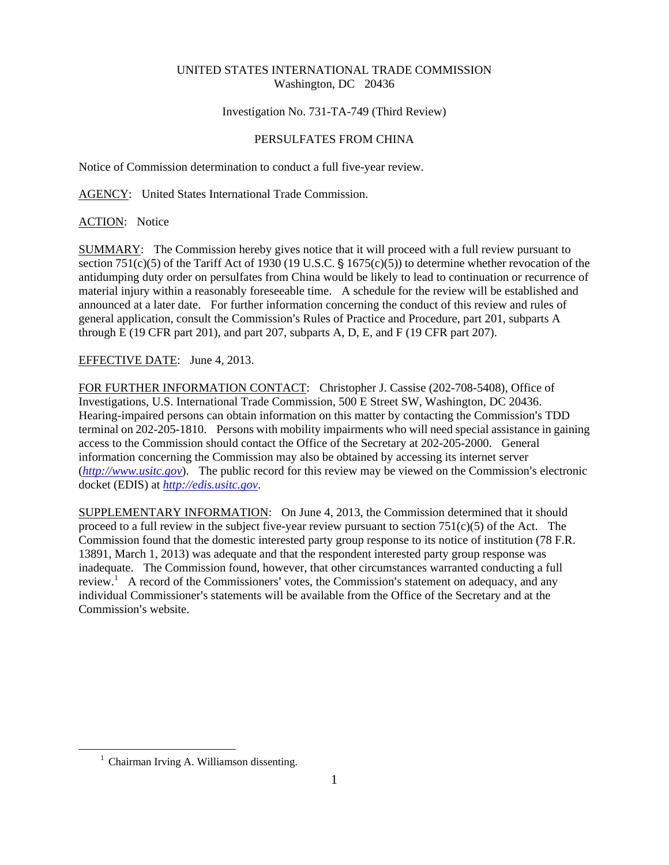## UNITED STATES INTERNATIONAL TRADE COMMISSION Washington, DC 20436

## Investigation No. 731-TA-749 (Third Review)

## PERSULFATES FROM CHINA

Notice of Commission determination to conduct a full five-year review.

AGENCY: United States International Trade Commission.

ACTION: Notice

SUMMARY: The Commission hereby gives notice that it will proceed with a full review pursuant to section 751(c)(5) of the Tariff Act of 1930 (19 U.S.C.  $\S$  1675(c)(5)) to determine whether revocation of the antidumping duty order on persulfates from China would be likely to lead to continuation or recurrence of material injury within a reasonably foreseeable time. A schedule for the review will be established and announced at a later date. For further information concerning the conduct of this review and rules of general application, consult the Commission's Rules of Practice and Procedure, part 201, subparts A through E (19 CFR part 201), and part 207, subparts A, D, E, and F (19 CFR part 207).

EFFECTIVE DATE: June 4, 2013.

FOR FURTHER INFORMATION CONTACT: Christopher J. Cassise (202-708-5408), Office of Investigations, U.S. International Trade Commission, 500 E Street SW, Washington, DC 20436. Hearing-impaired persons can obtain information on this matter by contacting the Commission's TDD terminal on 202-205-1810. Persons with mobility impairments who will need special assistance in gaining access to the Commission should contact the Office of the Secretary at 202-205-2000. General information concerning the Commission may also be obtained by accessing its internet server  $(http://www.ustc.gov)$ . The public record for this review may be viewed on the Commission's electronic docket (EDIS) at *http://edis.usitc.gov*.

SUPPLEMENTARY INFORMATION: On June 4, 2013, the Commission determined that it should proceed to a full review in the subject five-year review pursuant to section  $751(c)(5)$  of the Act. The Commission found that the domestic interested party group response to its notice of institution (78 F.R. 13891, March 1, 2013) was adequate and that the respondent interested party group response was inadequate. The Commission found, however, that other circumstances warranted conducting a full review.<sup>1</sup> A record of the Commissioners' votes, the Commission's statement on adequacy, and any individual Commissioner's statements will be available from the Office of the Secretary and at the Commission's website.

 $\overline{a}$ 

<sup>&</sup>lt;sup>1</sup> Chairman Irving A. Williamson dissenting.